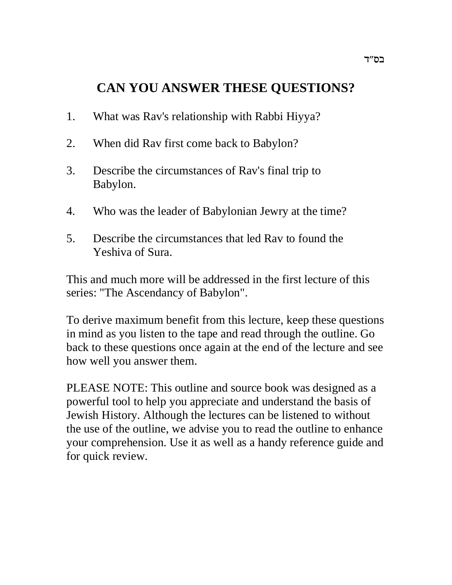# **CAN YOU ANSWER THESE QUESTIONS?**

- 1. What was Rav's relationship with Rabbi Hiyya?
- 2. When did Rav first come back to Babylon?
- 3. Describe the circumstances of Rav's final trip to Babylon.
- 4. Who was the leader of Babylonian Jewry at the time?
- 5. Describe the circumstances that led Rav to found the Yeshiva of Sura.

This and much more will be addressed in the first lecture of this series: "The Ascendancy of Babylon".

To derive maximum benefit from this lecture, keep these questions in mind as you listen to the tape and read through the outline. Go back to these questions once again at the end of the lecture and see how well you answer them.

PLEASE NOTE: This outline and source book was designed as a powerful tool to help you appreciate and understand the basis of Jewish History. Although the lectures can be listened to without the use of the outline, we advise you to read the outline to enhance your comprehension. Use it as well as a handy reference guide and for quick review.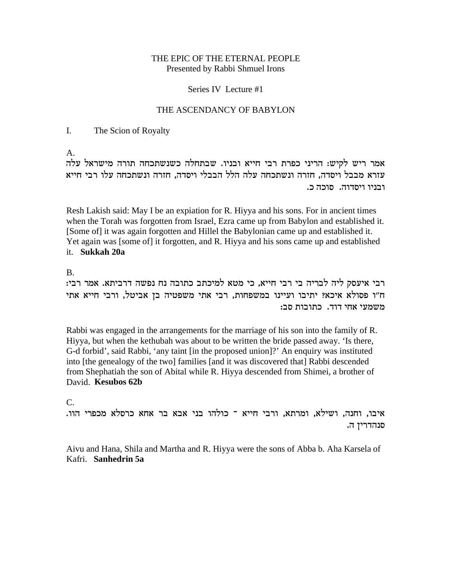#### THE EPIC OF THE ETERNAL PEOPLE Presented by Rabbi Shmuel Irons

#### Series IV Lecture #1

#### THE ASCENDANCY OF BABYLON

#### $\mathbf{I}$ . The Scion of Royalty

 $A_{-}$ 

אמר ריש לקיש: הריני כפרת רבי חייא ובניו. שבתחלה כשנשתכחה תורה מישראל עלה עזרא מבבל ויסדה, חזרה ונשתכחה עלה הלל הבבלי ויסדה, חזרה ונשתכחה עלו רבי חייא ובניו ויסדוה. סוכה כ.

Resh Lakish said: May I be an expiation for R. Hiyya and his sons. For in ancient times when the Torah was forgotten from Israel, Ezra came up from Babylon and established it. [Some of] it was again forgotten and Hillel the Babylonian came up and established it. Yet again was [some of] it forgotten, and R. Hivya and his sons came up and established it. Sukkah 20a

#### $\mathbf{B}$

רבי איעסק ליה לבריה בי רבי חייא, כי מטא למיכתב כתובה נח נפשה דרביתא. אמר רבי: ח"ו פסולא איכא? יתיבו ועיינו במשפחות, רבי אתי משפטיה בן אביטל, ורבי חייא אתי משמעי אחי דוד. כתובות סב:

Rabbi was engaged in the arrangements for the marriage of his son into the family of R. Hiyya, but when the kethubah was about to be written the bride passed away. 'Is there, G-d forbid', said Rabbi, 'any taint [in the proposed union]?' An enquiry was instituted into [the genealogy of the two] families [and it was discovered that] Rabbi descended from Shephatiah the son of Abital while R. Hiyya descended from Shimei, a brother of David. Kesubos 62b

## $C_{\cdot}$

איבו, וחנה, ושילא, ומרתא, ורבי חייא ־ כולהו בני אבא בר אחא כרסלא מכפרי הוו. סנהדרין ה.

Aivu and Hana, Shila and Martha and R. Hiyya were the sons of Abba b. Aha Karsela of Kafri. Sanhedrin 5a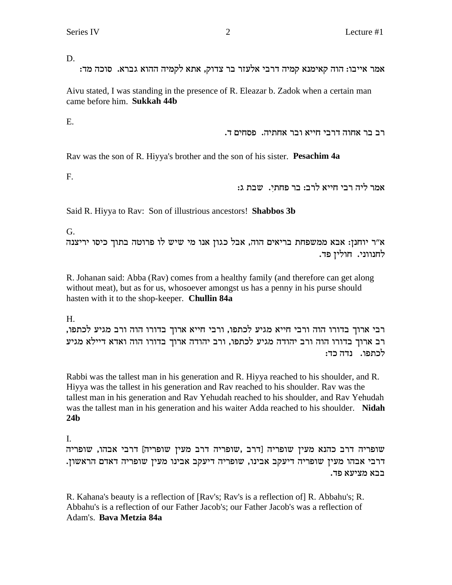D.

:אמר אייבו: הוה קאימנא קמיה דרבי אלעזר בר צדוק, אתא לקמיה ההוא גברא. סוכה מד

Aivu stated, I was standing in the presence of R. Eleazar b. Zadok when a certain man came before him. **Sukkah 44b**

E.

. רב בר אחוה דרבי חייא ובר אחתיה. פסחים ד

Rav was the son of R. Hiyya's brother and the son of his sister. **Pesachim 4a**

F.

.<br>אמר ליה רבי חייא לרב: בר פחתי. שבת ג:

Said R. Hiyya to Rav: Son of illustrious ancestors! **Shabbos 3b**

G.

א״ר יוחנן: אבא ממשפחת בריאים הוה, אבל כגון אנו מי שיש לו פרוטה בתוך כיסו יריצנה לחנווני. חולין פד.

R. Johanan said: Abba (Rav) comes from a healthy family (and therefore can get along without meat), but as for us, whosoever amongst us has a penny in his purse should hasten with it to the shop-keeper. **Chullin 84a**

H.

, רבי ארוך בדורו הוה ורבי חייא מגיע לכתפו, ורבי חייא ארוך בדורו הוה ורב מגיע לכתפו רב ארוך בדורו הוה ורב יהודה מגיע לכתפו, ורב יהודה ארוך בדורו הוה ואדא דיילא מגיע לכתפו. נדה כד:

Rabbi was the tallest man in his generation and R. Hiyya reached to his shoulder, and R. Hiyya was the tallest in his generation and Rav reached to his shoulder. Rav was the tallest man in his generation and Rav Yehudah reached to his shoulder, and Rav Yehudah was the tallest man in his generation and his waiter Adda reached to his shoulder. **Nidah 24b**

I.

שופריה דרב כהנא מעין שופריה [דרב ,שופריה דרב מעין שופריה מעין שופריה  $\,$ . דרבי אבהו מעין שופריה דיעקב אבינו, שופריה דיעקב אבינו מעין שופריה דאדם הראשון בבא מציעא פד.

R. Kahana's beauty is a reflection of [Rav's; Rav's is a reflection of] R. Abbahu's; R. Abbahu's is a reflection of our Father Jacob's; our Father Jacob's was a reflection of Adam's. **Bava Metzia 84a**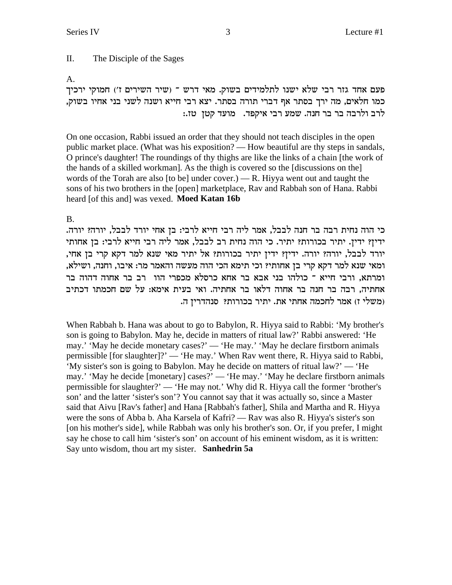II. The Disciple of the Sages

A.

פעם אחד גזר רבי שלא ישנו לתלמידים בשוק. מאי דרש ־ (שיר השירים ז') חמוקי ירכיך כמו חלאים, מה ירך בסתר אף דברי תורה בסתר. יצא רבי חייא ושנה לשני בני אחיו בשוק, לרב ולרבה בר בר חנה. שמע רבי איקפד. מועד קטן טז.:

On one occasion, Rabbi issued an order that they should not teach disciples in the open public market place. (What was his exposition? — How beautiful are thy steps in sandals, O prince's daughter! The roundings of thy thighs are like the links of a chain [the work of the hands of a skilled workman]. As the thigh is covered so the [discussions on the] words of the Torah are also [to be] under cover.) — R. Hiyya went out and taught the sons of his two brothers in the [open] marketplace, Rav and Rabbah son of Hana. Rabbi heard [of this and] was vexed. **Moed Katan 16b**

B.

כי הוה נחית רבה בר חנה לבבל, אמר ליה רבי חייא לרבי: בן אחי יורד לבבל, יורה? יורה. ידין? ידין. יתיר בכורות? יתיר. כי הוה נחית רב לבבל, אמר ליה רבי חייא לרבי: בן אחותי יורד לבבל, יורה? יורה. ידין? ידין יתיר בכורות? אל יתיר מאי שנא למר דקא קרי בן אחי, , ומאי שנא למר דקא קרי בן אחותי? וכי תימא הכי הוה מעשה והאמר מר: איבו, וחנה, ושילא ומרתא, ורבי חייא ־ כולהו בני אבא בר אחא כרסלא מכפרי הוו רב בר אחוה דהוה בר אחתיה, רבה בר חנה בר אחוה דלאו בר אחתיה. ואי בעית אימא: על שם חכמתו דכתיב .d משלי ז) אמר לחכמה אחתי את. יתיר בכורות? סנהדריז ה

When Rabbah b. Hana was about to go to Babylon, R. Hiyya said to Rabbi: 'My brother's son is going to Babylon. May he, decide in matters of ritual law?' Rabbi answered: 'He may.' 'May he decide monetary cases?' — 'He may.' 'May he declare firstborn animals permissible [for slaughter]?' — 'He may.' When Rav went there, R. Hiyya said to Rabbi, 'My sister's son is going to Babylon. May he decide on matters of ritual law?' — 'He may.' 'May he decide [monetary] cases?' — 'He may.' 'May he declare firstborn animals permissible for slaughter?' — 'He may not.' Why did R. Hiyya call the former 'brother's son' and the latter 'sister's son'? You cannot say that it was actually so, since a Master said that Aivu [Rav's father] and Hana [Rabbah's father], Shila and Martha and R. Hiyya were the sons of Abba b. Aha Karsela of Kafri? — Rav was also R. Hiyya's sister's son [on his mother's side], while Rabbah was only his brother's son. Or, if you prefer, I might say he chose to call him 'sister's son' on account of his eminent wisdom, as it is written: Say unto wisdom, thou art my sister. **Sanhedrin 5a**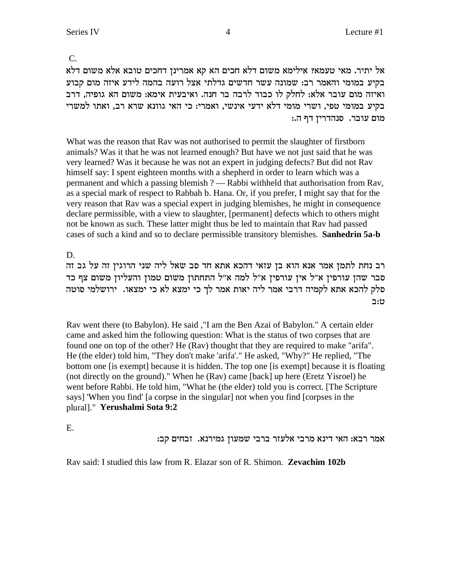$C_{\cdot}$ 

אל יתיר. מאי טעמאי אילימא משום דלא חכים הא קא אמרינן דחכים טובא אלא משום דלא בקיע במומי והאמר רב: שמונה עשר חדשים גדלתי אצל רועה בהמה לידע איזה מום קבוע ואיזה מום עובר אלא: לחלק לו כבוד לרבה בר חנה. ואיבעית אימא: משום הא גופיה, דרב בקיע במומי טפי, ושרי מומי דלא ידעי אינשי, ואמרי: כי האי גוונא שרא רב, ואתו למשרי מום עובר. סנהדרין דף ה.:

What was the reason that Rav was not authorised to permit the slaughter of firstborn animals? Was it that he was not learned enough? But have we not just said that he was very learned? Was it because he was not an expert in judging defects? But did not Rav himself say: I spent eighteen months with a shepherd in order to learn which was a permanent and which a passing blemish ? — Rabbi withheld that authorisation from Rav, as a special mark of respect to Rabbah b. Hana. Or, if you prefer, I might say that for the very reason that Rav was a special expert in judging blemishes, he might in consequence declare permissible, with a view to slaughter, [permanent] defects which to others might not be known as such. These latter might thus be led to maintain that Ray had passed cases of such a kind and so to declare permissible transitory blemishes. Sanhedrin 5a-b

D.

רב נחת לתמן אמר אנא הוא בן עזאי דהכא אתא חד סב שאל ליה שני הרוגין זה על גב זה סבר שהן עורפין א״ל אין עורפין א״ל למה א״ל התחתון משום טמון והעליון משום צף כד סלק להכא אתא לקמיה דרבי אמר ליה יאות אמר לך כי ימצא לא כי ימצאו. ירושלמי סוטה ט:ב

Rav went there (to Babylon). He said, "I am the Ben Azai of Babylon." A certain elder came and asked him the following question: What is the status of two corpses that are found one on top of the other? He (Rav) thought that they are required to make "arifa". He (the elder) told him, "They don't make 'arifa'." He asked, "Why?" He replied, "The bottom one [is exempt] because it is hidden. The top one [is exempt] because it is floating (not directly on the ground)." When he (Rav) came [back] up here (Eretz Yisroel) he went before Rabbi. He told him, "What he (the elder) told you is correct. [The Scripture says] 'When you find' [a corpse in the singular] not when you find [corpses in the plural]." Yerushalmi Sota 9:2

 $E.$ 

אמר רבא: האי דינא מרבי אלעזר ברבי שמעון גמירנא. זבחים קב:

Rav said: I studied this law from R. Elazar son of R. Shimon. Zevachim 102b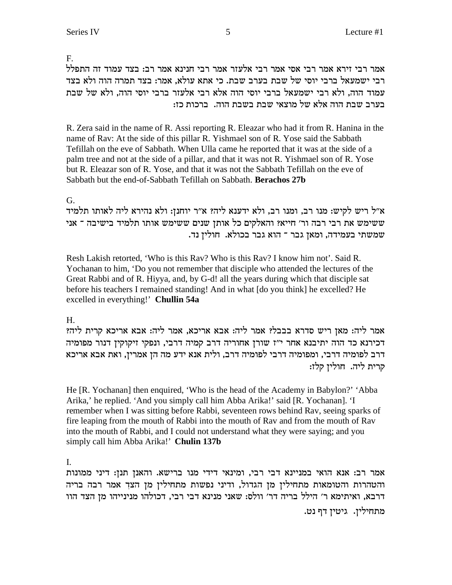F.

אמר רבי זירא אמר רבי אסי אמר רבי אלעזר אמר רבי חנינא אמר רב: בצד עמוד זה התפלל רבי ישמעאל ברבי יוסי של שבת בערב שבת. כי אתא עולא, אמר: בצד תמרה הוה ולא בצד עמוד הוה, ולא רבי ישמעאל ברבי יוסי הוה אלא רבי אלעזר ברבי יוסי הוה, ולא של שבת : בערב שבת הוה אלא של מוצאי שבת בשבת הוה. ברכות כז

R. Zera said in the name of R. Assi reporting R. Eleazar who had it from R. Hanina in the name of Rav: At the side of this pillar R. Yishmael son of R. Yose said the Sabbath Tefillah on the eve of Sabbath. When Ulla came he reported that it was at the side of a palm tree and not at the side of a pillar, and that it was not R. Yishmael son of R. Yose but R. Eleazar son of R. Yose, and that it was not the Sabbath Tefillah on the eve of Sabbath but the end-of-Sabbath Tefillah on Sabbath. **Berachos 27b**

# G.

א״ל ריש לקיש: מנו רב, ומנו רב, ולא ידענא ליה? א״ר יוחנן: ולא נהירא ליה לאותו תלמיד יש ימש את רבי רבה ור' חייא? והאלקים כל אותן שנים ששימש אותו תלמיד בישיבה ה . שמשתי בעמידה, ומאן גבר ־ הוא גבר בכולא. חולין נד

Resh Lakish retorted, 'Who is this Rav? Who is this Rav? I know him not'. Said R. Yochanan to him, 'Do you not remember that disciple who attended the lectures of the Great Rabbi and of R. Hiyya, and, by G-d! all the years during which that disciple sat before his teachers I remained standing! And in what [do you think] he excelled? He excelled in everything!'**Chullin 54a**

# H.

. אמר ליה: מאן ריש סדרא בבבל? אמר ליה: אבא אריכא, אמר ליה: אבא אריכא קרית ליה דכירנא כד הוה יתיבנא אחר י"ז שורן אחוריה דרב קמיה דרבי, ונפקי זיקוקין דנור מפומיה דרב לפומיה דרבי, ומפומיה דרבי לפומיה דרב, ולית אנא ידע מה הן אמרין, ואת אבא אריכא קרית ליה. חולין קלז:

He [R. Yochanan] then enquired, 'Who is the head of the Academy in Babylon?' 'Abba Arika,' he replied. 'And you simply call him Abba Arika!' said [R. Yochanan]. 'I remember when I was sitting before Rabbi, seventeen rows behind Rav, seeing sparks of fire leaping from the mouth of Rabbi into the mouth of Rav and from the mouth of Rav into the mouth of Rabbi, and I could not understand what they were saying; and you simply call him Abba Arika!'**Chulin 137b**

I.

אמר רב: אנא הואי במניינא דבי רבי, ומינאי דידי מנו ברישא. והאנן תנן: דיני ממונות והטהרות והטומאות מתחילין מן הגדול, ודיני נפשות מתחילין מן הצד אמר רבה בריה eed רובא, ואיתימא ר' הילל בריה דר' וולס: שאני מנינא דבי רבי, דכולהו מנינייהו מן הצד הוו מתחילין. גיטין דף נט.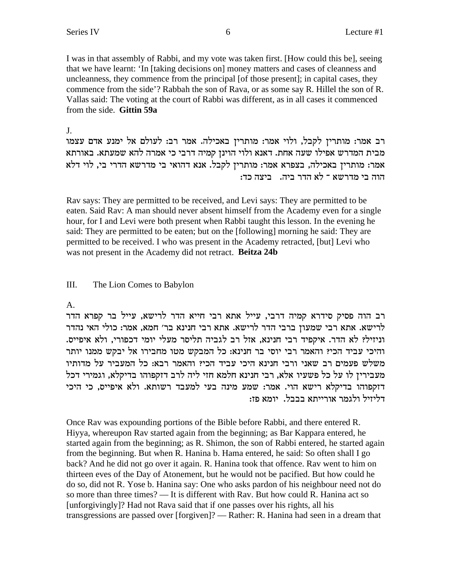I was in that assembly of Rabbi, and my vote was taken first. [How could this be], seeing that we have learnt: 'In [taking decisions on] money matters and cases of cleanness and uncleanness, they commence from the principal [of those present]; in capital cases, they commence from the side'? Rabbah the son of Rava, or as some say R. Hillel the son of R. Vallas said: The voting at the court of Rabbi was different, as in all cases it commenced from the side. **Gittin 59a**

#### J.

רב אמר: מותרין לקבל, ולוי אמר: מותרין באכילה. אמר רב: לעולם אל ימנע אדם עצמו מבית המדרש אפילו שעה אחת. דאנא ולוי הוינן קמיה דרבי כי אמרה להא שמעתא. באורתא אמר: מותרין באכילה, בצפרא אמר: מותרין לקבל. אנא דהואי בי מדרשא הדרי בי, לוי דלא הוה בי מדרשא <sup>–</sup> לא הדר ביה. - ביצה כד:

Rav says: They are permitted to be received, and Levi says: They are permitted to be eaten. Said Rav: A man should never absent himself from the Academy even for a single hour, for I and Levi were both present when Rabbi taught this lesson. In the evening he said: They are permitted to be eaten; but on the [following] morning he said: They are permitted to be received. I who was present in the Academy retracted, [but] Levi who was not present in the Academy did not retract. **Beitza 24b**

## III. The Lion Comes to Babylon

## A.

רב הוה פסיק סידרא קמיה דרבי, עייל אתא רבי חייא הדר לרישא, עייל בר קפרא הדר לרישא. אתא רבי שמעון ברבי הדר לרישא. אתא רבי חנינא בר׳ חמא, אמר: כולי האי נהדר .<br>וניזיל? לא הדר. איקפיד רבי חנינא, אזל רב לגביה תליסר מעלי יומי דכפורי, ולא איפייס והיכי עביד הכי? והאמר רבי יוסי בר חנינא: כל המבקש מטו מחבירו אל יבקש ממנו יותר משלש פעמים רב שאני ורבי חנינא היכי עביד הכי? והאמר רבא: כל המעביר על מדותיו מעבירין לו על כל פשעיו אלא, רבי חנינא חלמא חזי ליה לרב דזקפוהו בדיקלא, וגמירי דכל דזקפוהו בדיקלא רישא הוי. אמר: שמע מינה בעי למעבד רשותא. ולא איפייס, כי היכי דליזיל ולגמר אורייתא בבבל. יומא פז:

Once Rav was expounding portions of the Bible before Rabbi, and there entered R. Hiyya, whereupon Rav started again from the beginning; as Bar Kappara entered, he started again from the beginning; as R. Shimon, the son of Rabbi entered, he started again from the beginning. But when R. Hanina b. Hama entered, he said: So often shall I go back? And he did not go over it again. R. Hanina took that offence. Rav went to him on thirteen eves of the Day of Atonement, but he would not be pacified. But how could he do so, did not R. Yose b. Hanina say: One who asks pardon of his neighbour need not do so more than three times? — It is different with Rav. But how could R. Hanina act so [unforgivingly]? Had not Rava said that if one passes over his rights, all his transgressions are passed over [forgiven]? — Rather: R. Hanina had seen in a dream that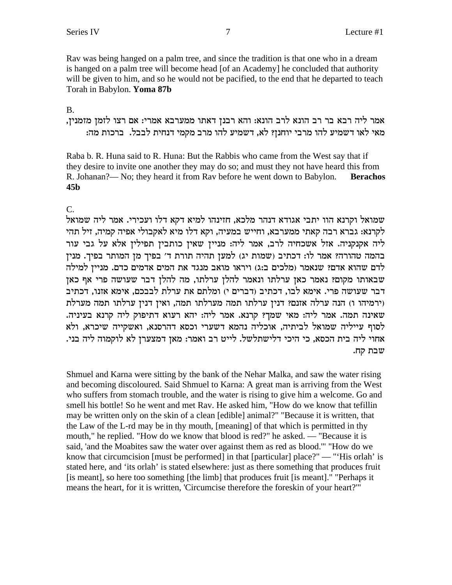Ray was being hanged on a palm tree, and since the tradition is that one who in a dream is hanged on a palm tree will become head [of an Academy] he concluded that authority will be given to him, and so he would not be pacified, to the end that he departed to teach Torah in Babylon. Yoma 87b

# **B.**

אמר ליה רבא בר רב הונא לרב הונא: והא רבנן דאתו ממערבא אמרי: אם רצו לזמן מזמנין, מאי לאו דשמיע להו מרבי יוחנז? לא, דשמיע להו מרב מקמי דנחית לבבל. ברכות מה:

Raba b. R. Huna said to R. Huna: But the Rabbis who came from the West say that if they desire to invite one another they may do so; and must they not have heard this from R. Johanan?— No; they heard it from Rav before he went down to Babylon. **Berachos**  $45<sub>b</sub>$ 

# $\mathsf{C}$

שמואל וקרנא הוו יתבי אגודא דנהר מלכא, חזינהו למיא דקא דלו ועכירי. אמר ליה שמואל לקרנא: גברא רבה קאתי ממערבא, וחייש במעיה, וקא דלו מיא לאקבולי אפיה קמיה, זיל תהי ליה אקנקניה. אזל אשכחיה לרב, אמר ליה: מניין שאין כותבין תפילין אלא על גבי עור בהמה טהורה? אמר לו: דכתיב (שמות יג) למען תהיה תורת ד' בפיך מן המותר בפיך. מנין לדם שהוא אדם? שנאמר (מלכים ב:ג) ויראו מואב מנגד את המים אדמים כדם. מניין למילה שבאותו מקום? נאמר כאן ערלתו ונאמר להלן ערלתו, מה להלן דבר שעושה פרי אף כאן דבר שעושה פרי. אימא לבו, דכתיב (דברים י) ומלתם את ערלת לבבכם, אימא אזנו, דכתיב וירמיהו ו) הנה ערלה אזנם? דנין ערלתו תמה מערלתו תמה, ואין דנין ערלתו תמה מערלת שאינה תמה. אמר ליה: מאי שמך? קרנא. אמר ליה: יהא רעוא דתיפוק ליה קרנא בעיניה. לסוף עייליה שמואל לביתיה, אוכליה נהמא דשערי וכסא דהרסנא, ואשקייה שיכרא, ולא אחוי ליה בית הכסא, כי היכי דלישתלשל. לייט רב ואמר: מאן דמצערן לא לוקמוה ליה בני. שבת קח.

Shmuel and Karna were sitting by the bank of the Nehar Malka, and saw the water rising and becoming discoloured. Said Shmuel to Karna: A great man is arriving from the West who suffers from stomach trouble, and the water is rising to give him a welcome. Go and smell his bottle! So he went and met Rav. He asked him, "How do we know that tefillin may be written only on the skin of a clean [edible] animal?" "Because it is written, that the Law of the L-rd may be in thy mouth, [meaning] of that which is permitted in thy mouth," he replied. "How do we know that blood is red?" he asked. — "Because it is said, 'and the Moabites saw the water over against them as red as blood." "How do we know that circumcision [must be performed] in that [particular] place?" — "His orlah' is stated here, and 'its orlah' is stated elsewhere: just as there something that produces fruit [is meant], so here too something [the limb] that produces fruit [is meant]." "Perhaps it means the heart, for it is written, 'Circumcise therefore the foreskin of your heart?'"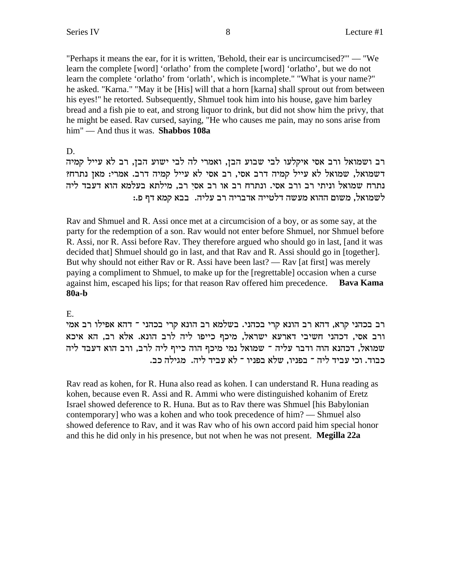"Perhaps it means the ear, for it is written, 'Behold, their ear is uncircumcised?'" — "We learn the complete [word] 'orlatho' from the complete [word] 'orlatho', but we do not learn the complete 'orlatho' from 'orlath', which is incomplete." "What is your name?" he asked. "Karna." "May it be [His] will that a horn [karna] shall sprout out from between his eyes!" he retorted. Subsequently, Shmuel took him into his house, gave him barley bread and a fish pie to eat, and strong liquor to drink, but did not show him the privy, that he might be eased. Rav cursed, saying, "He who causes me pain, may no sons arise from him" — And thus it was. **Shabbos 108a**

D.

רב ושמואל ורב אסי איקלעו לבי שבוע הבן, ואמרי לה לבי ישוע הבן, רב לא עייל קמיה דשמואל, שמואל לא עייל קמיה דרב אסי, רב אסי לא עייל קמיה דרב. אמרי: מאן נתרח? נתרח שמואל וניתי רב ורב אסי. ונתרח רב או רב אסי רב, מילתא בעלמא הוא דעבד ליה לשמואל, משום ההוא מעשה דלטייה אדבריה רב עליה. בבא קמא דף פ.:

Rav and Shmuel and R. Assi once met at a circumcision of a boy, or as some say, at the party for the redemption of a son. Rav would not enter before Shmuel, nor Shmuel before R. Assi, nor R. Assi before Rav. They therefore argued who should go in last, [and it was decided that] Shmuel should go in last, and that Rav and R. Assi should go in [together]. But why should not either Rav or R. Assi have been last? — Rav [at first] was merely paying a compliment to Shmuel, to make up for the [regrettable] occasion when a curse against him, escaped his lips; for that reason Rav offered him precedence. **Bava Kama 80a-b**

E.

וב בכהני קרא, דהא רב הונא קרי בכהני. בשלמא רב הונא קרי בכהני ־ דהא אפילו רב אמי ורב אסי, דכהני חשיבי דארעא ישראל, מיכף כייפו ליה לרב הונא. אלא רב, הא איכא שמואל, דכהנא הוה ודבר עליה ־ שמואל נמי מיכף הוה כייף ליה לרב, ורב הוא דעבד ליה כבוד. וכי עביד ליה ־ בפניו, שלא בפניו ־ לא עביד ליה. מגילה כב.

Rav read as kohen, for R. Huna also read as kohen. I can understand R. Huna reading as kohen, because even R. Assi and R. Ammi who were distinguished kohanim of Eretz Israel showed deference to R. Huna. But as to Rav there was Shmuel [his Babylonian contemporary] who was a kohen and who took precedence of him? — Shmuel also showed deference to Rav, and it was Rav who of his own accord paid him special honor and this he did only in his presence, but not when he was not present. **Megilla 22a**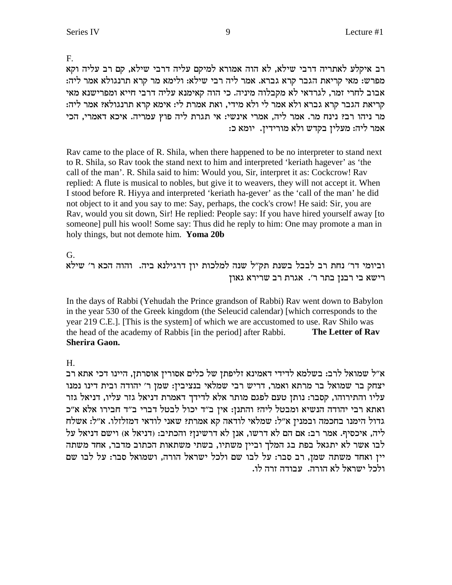F.

רב איקלע לאתריה דרבי שילא, לא הוה אמורא למיקם עליה דרבי שילא, קם רב עליה וקא מפרש: מאי קריאת הגבר קרא גברא. אמר ליה רבי שילא: ולימא מר קרא תרנגולא אמר ליה: אבוב לחרי זמר, לגרדאי לא מקבלוה מיניה. כי הוה קאימנא עליה דרבי חייא ומפרישנא מאי : קריאת הגבר קרא גברא ולא אמר לי ולא מידי, ואת אמרת לי: אימא קרא תרנגולא? אמר ליה מר ניהו רב? נינח מר. אמר ליה, אמרי אינשי: אי תגרת ליה פוץ עמריה. איכא דאמרי, הכי :אמר ליה: מעלין בקדש ולא מורידין. יומא כ

Rav came to the place of R. Shila, when there happened to be no interpreter to stand next to R. Shila, so Rav took the stand next to him and interpreted 'keriath hagever' as 'the call of the man'. R. Shila said to him: Would you, Sir, interpret it as: Cockcrow! Rav replied: A flute is musical to nobles, but give it to weavers, they will not accept it. When I stood before R. Hiyya and interpreted 'keriath ha-gever' as the 'call of the man' he did not object to it and you say to me: Say, perhaps, the cock's crow! He said: Sir, you are Rav, would you sit down, Sir! He replied: People say: If you have hired yourself away [to someone] pull his wool! Some say: Thus did he reply to him: One may promote a man in holy things, but not demote him. **Yoma 20b**

G.

וביומי דר' נחת רב לבבל בשנת תק"ל שנה למלכות יון דרגילנא ביה. והוה הכא ר' שילא רישא בי רבנן בתר ר'. אגרת רב שרירא גאון

In the days of Rabbi (Yehudah the Prince grandson of Rabbi) Rav went down to Babylon in the year 530 of the Greek kingdom (the Seleucid calendar) [which corresponds to the year 219 C.E.]. [This is the system] of which we are accustomed to use. Rav Shilo was the head of the academy of Rabbis [in the period] after Rabbi. **The Letter of Rav Sherira Gaon.**

H.

א״ל שמואל לרב: בשלמא לדידי דאמינא זליפתן של כלים אסורין אוסרתן, היינו דכי אתא רב יצחק בר שמואל בר מרתא ואמר, דריש רבי שמלאי בנציבין: שמן ר' יהודה ובית דינו נמנו עליו והתירוהו, קסבר: נותן טעם לפגם מותר אלא לדידך דאמרת דניאל גזר עליו, דניאל גזר ואתא רבי יהודה הנשיא ומבטל ליה? והתנן: אין ב"ד יכול לבטל דברי ב"ד חבירו אלא א"כ גדול הימנו בחכמה ובמנין א"ל: שמלאי לודאה קא אמרת? שאני לודאי דמזלזלו. א"ל: אשלח ליה, איכסיף. אמר רב: אם הם לא דרשו, אנן לא דרשינן? והכתיב: (דניאל א) וישם דניאל על לבו אשר לא יתגאל בפת בג המלך וביין משתיו, בשתי משתאות הכתוב מדבר, אחד משתה יין ואחד משתה שמן, רב סבר: על לבו שם ולכל ישראל הורה, ושמואל סבר: על לבו שם .<br>ולכל ישראל לא הורה. עבודה זרה לו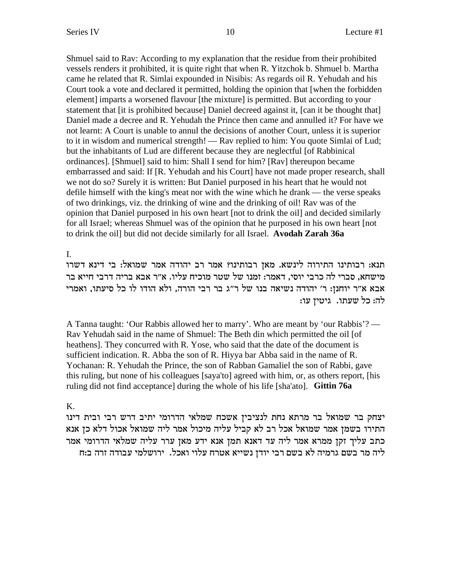Shmuel said to Rav: According to my explanation that the residue from their prohibited vessels renders it prohibited, it is quite right that when R. Yitzchok b. Shmuel b. Martha came he related that R. Simlai expounded in Nisibis: As regards oil R. Yehudah and his Court took a vote and declared it permitted, holding the opinion that [when the forbidden element] imparts a worsened flavour [the mixture] is permitted. But according to your statement that *it* is prohibited because] Daniel decreed against it, *fcan* it be thought that Daniel made a decree and R. Yehudah the Prince then came and annulled it? For have we not learnt: A Court is unable to annul the decisions of another Court, unless it is superior to it in wisdom and numerical strength! — Rav replied to him: You quote Simlai of Lud; but the inhabitants of Lud are different because they are neglectful [of Rabbinical] ordinances]. [Shmuel] said to him: Shall I send for him? [Rav] thereupon became embarrassed and said: If [R. Yehudah and his Court] have not made proper research, shall we not do so? Surely it is written: But Daniel purposed in his heart that he would not defile himself with the king's meat nor with the wine which he drank — the verse speaks of two drinkings, viz. the drinking of wine and the drinking of oil! Rav was of the opinion that Daniel purposed in his own heart [not to drink the oil] and decided similarly for all Israel; whereas Shmuel was of the opinion that he purposed in his own heart [not] to drink the oil] but did not decide similarly for all Israel. Avodah Zarah 36a

 $\mathbf{L}$ 

תנא: רבותינו התירוה לינשא. מאן רבותינו? אמר רב יהודה אמר שמואל: בי דינא דשרו מישחא, סברי לה כרבי יוסי, דאמר: זמנו של שטר מוכיח עליו. א״ר אבא בריה דרבי חייא בר אבא א״ר יוחנז: ר׳ יהודה נשיאה בנו של ר״ג בר רבי הורה, ולא הודו לו כל סיעתו, ואמרי לה: כל שעתו. גיטין עו:

A Tanna taught: 'Our Rabbis allowed her to marry'. Who are meant by 'our Rabbis'? — Rav Yehudah said in the name of Shmuel: The Beth din which permitted the oil [of heathens]. They concurred with R. Yose, who said that the date of the document is sufficient indication. R. Abba the son of R. Hiyya bar Abba said in the name of R. Yochanan: R. Yehudah the Prince, the son of Rabban Gamaliel the son of Rabbi, gave this ruling, but none of his colleagues [saya'to] agreed with him, or, as others report, [his ruling did not find acceptance] during the whole of his life [sha'ato]. Gittin 76a

# K.

יצחק בר שמואל בר מרתא נחת לנציבין אשכח שמלאי הדרומי יתיב דרש רבי ובית דינו התירו בשמן אמר שמואל אכל רב לא קביל עליה מיכול אמר ליה שמואל אכול דלא כן אנא כתב עליך זקן ממרא אמר ליה עד דאנא תמן אנא ידע מאן ערר עליה שמלאי הדרומי אמר ליה מר בשם גרמיה לא בשם רבי יודן נשייא אטרח עלוי ואכל. ירושלמי עבודה זרה ב:ח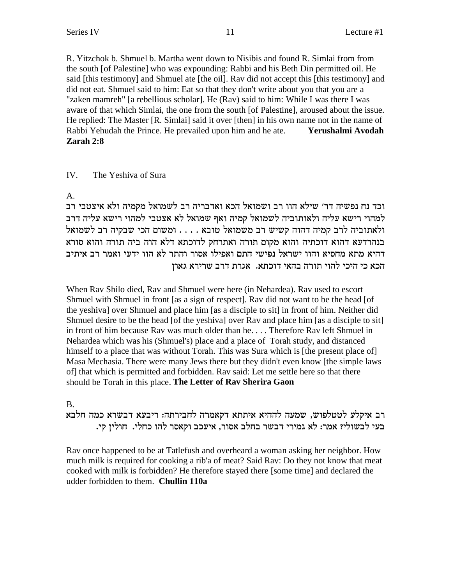R. Yitzchok b. Shmuel b. Martha went down to Nisibis and found R. Simlai from from the south [of Palestine] who was expounding: Rabbi and his Beth Din permitted oil. He said [this testimony] and Shmuel ate [the oil]. Ray did not accept this [this testimony] and did not eat. Shmuel said to him: Eat so that they don't write about you that you are a "zaken mamreh" [a rebellious scholar]. He (Rav) said to him: While I was there I was aware of that which Simlai, the one from the south [of Palestine], aroused about the issue. He replied: The Master [R. Simlai] said it over [then] in his own name not in the name of Rabbi Yehudah the Prince. He prevailed upon him and he ate. Yerushalmi Avodah Zarah 2:8

#### IV. The Yeshiva of Sura

A.

וכד נח נפשיה דר׳ שילא הוו רב ושמואל הכא ואדבריה רב לשמואל מקמיה ולא איצטבי רב למהוי רישא עליה ולאותוביה לשמואל קמיה ואף שמואל לא אצטבי למהוי רישא עליה דרב ולאתוביה לרב קמיה דהוה קשיש רב משמואל טובא . . . . ומשום הכי שבקיה רב לשמואל בנהרדעא דהוא דוכתיה והוא מקום תורה ואתרחק לדוכתא דלא הוה ביה תורה והוא סורא דהיא מתא מחסיא והוו ישראל נפישי התם ואפילו אסור והתר לא הוו ידעי ואמר רב איתיב הכא כי היכי להוי תורה בהאי דוכתא. אגרת דרב שרירא גאון

When Rav Shilo died, Rav and Shmuel were here (in Nehardea). Rav used to escort Shmuel with Shmuel in front [as a sign of respect]. Ray did not want to be the head [of the veshival over Shmuel and place him [as a disciple to sit] in front of him. Neither did Shmuel desire to be the head [of the yeshiva] over Rav and place him [as a disciple to sit] in front of him because Rav was much older than he.... Therefore Rav left Shmuel in Nehardea which was his (Shmuel's) place and a place of Torah study, and distanced himself to a place that was without Torah. This was Sura which is [the present place of] Masa Mechasia. There were many Jews there but they didn't even know [the simple laws of] that which is permitted and forbidden. Rav said: Let me settle here so that there should be Torah in this place. The Letter of Rav Sherira Gaon

# **B.**

רב איקלע לטטלפוש, שמעה לההיא איתתא דקאמרה לחבירתה: ריבעא דבשרא כמה חלבא בעי לבשולי? אמר: לא גמירי דבשר בחלב אסור, איעכב וקאסר להו כחלי. חולין קי.

Rav once happened to be at Tatlefush and overheard a woman asking her neighbor. How much milk is required for cooking a rib'a of meat? Said Ray: Do they not know that meat cooked with milk is forbidden? He therefore stayed there [some time] and declared the udder forbidden to them. Chullin 110a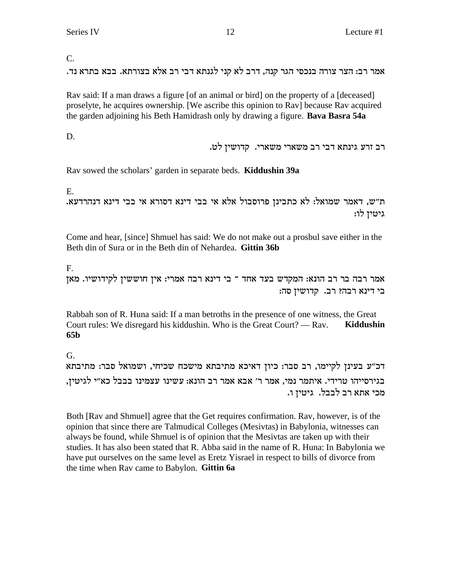C.

. אמר רב: הצר צורה בנכסי הגר קנה, דרב לא קני לגנתא דבי רב אלא בצורתא. בבא בתרא נד

Rav said: If a man draws a figure [of an animal or bird] on the property of a [deceased] proselyte, he acquires ownership. [We ascribe this opinion to Rav] because Rav acquired the garden adjoining his Beth Hamidrash only by drawing a figure. **Bava Basra 54a**

D.

. רב זרע גינתא דבי רב משארי משארי. קדושין לט

Rav sowed the scholars' garden in separate beds. **Kiddushin 39a**

E.

. ת"ש, דאמר שמואל: לא כתבינן פרוסבול אלא אי בבי דינא דום בי דינא דנהרדעא גיטין לו:

Come and hear, [since] Shmuel has said: We do not make out a prosbul save either in the Beth din of Sura or in the Beth din of Nehardea. **Gittin 36b**

F.

ה הכה הונא: המקדש בעד אחד " בי דינא רבה אמרי: אין חוששין לקידושיו. מאן אמר יבה בר בי דינא רבה? רב. קדושין סה:

Rabbah son of R. Huna said: If a man betroths in the presence of one witness, the Great Court rules: We disregard his kiddushin. Who is the Great Court? — Rav. **Kiddushin 65b**

G.

דכ"ע בעינן לקיימו, רב סבר: כיון דאיכא מתיבתא מישכח שכיחי, ושמואל סבר: מתיבתא בגירסייהו טרידי. איתמר נמי, אמר ר' אבא אמר רב הונא: עשינו עצמינו בבבל כא״י לגיטין, .מכי אתא רב לבבל. גיטין ו

Both [Rav and Shmuel] agree that the Get requires confirmation. Rav, however, is of the opinion that since there are Talmudical Colleges (Mesivtas) in Babylonia, witnesses can always be found, while Shmuel is of opinion that the Mesivtas are taken up with their studies. It has also been stated that R. Abba said in the name of R. Huna: In Babylonia we have put ourselves on the same level as Eretz Yisrael in respect to bills of divorce from the time when Rav came to Babylon. **Gittin 6a**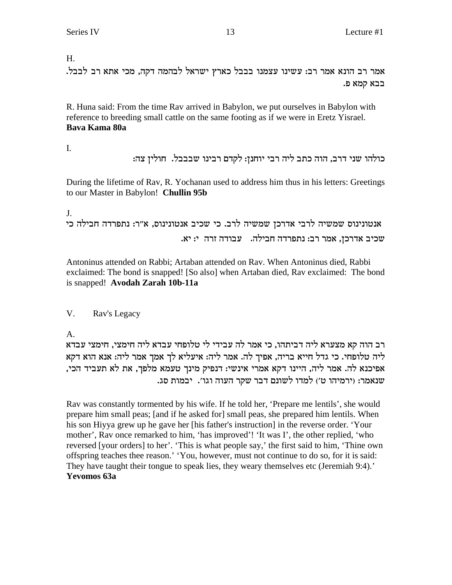H.

.<br>אמר רב הונא אמר רב: עשינו עצמנו בבבל כארץ ישראל לבהמה דקה, מכי אתא רב לבבל בבא קמא פ.

R. Huna said: From the time Rav arrived in Babylon, we put ourselves in Babylon with reference to breeding small cattle on the same footing as if we were in Eretz Yisrael. **Bava Kama 80a**

I.

כולהו שני דרב, הוה כתב ליה רבי יוחנן: לקדם רבינו שבבבל. חולין צה:

During the lifetime of Rav, R. Yochanan used to address him thus in his letters: Greetings to our Master in Babylon! **Chullin 95b**

J.

```
אנטונינוס שמשיה לרבי אדרכן שמשיה לרב. כי שכיב אנטונינוס, א"ר: נתפרדה חבילה כי
                .<br>שכיב אדרכן, אמר רב: נתפרדה חבילה. עבודה זרה י: יא
```
Antoninus attended on Rabbi; Artaban attended on Rav. When Antoninus died, Rabbi exclaimed: The bond is snapped! [So also] when Artaban died, Rav exclaimed: The bond is snapped! **Avodah Zarah 10b-11a**

# V. Rav's Legacy

A.

רב הוה קא מצערא ליה דביתהו, כי אמר לה עבידי לי טלופחי עבדא ליה חימצי, חימצי עבדא ליה טלופחי. כי גדל חייא בריה, אפיך לה. אמר ליה: איעליא לך אמך אמר ליה: אנא הוא דקא ,אפיכנא לה. אמר ליה, היינו דקא אמרי אינשי: דנפיק מינך טעמא מלפך, את לא תעביד הכי .שנאמר: (ירמיהו ט׳) למדו לשונם דבר שקר העוה וגו׳. יבמות סג

Rav was constantly tormented by his wife. If he told her, 'Prepare me lentils', she would prepare him small peas; [and if he asked for] small peas, she prepared him lentils. When his son Hiyya grew up he gave her [his father's instruction] in the reverse order. 'Your mother', Rav once remarked to him, 'has improved'! 'It was I', the other replied, 'who reversed [your orders] to her'. 'This is what people say,' the first said to him, 'Thine own offspring teaches thee reason.' 'You, however, must not continue to do so, for it is said: They have taught their tongue to speak lies, they weary themselves etc (Jeremiah 9:4).' **Yevomos 63a**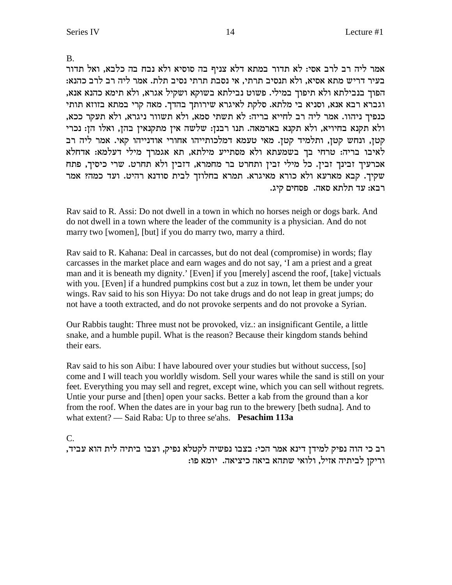# B.

אמר ליה רב לרב אסי: לא תדור במתא דלא צניף בה סוסיא ולא נבח בה כלבא, ואל תדור בעיר דריש מתא אסיא, ולא תנסיב תרתי, אי נסבת תרתי נסיב תלת. אמר ליה רב לרב כהנא: , הפוך בנבילתא ולא תיפוך במילי. פשוט נבילתא בשוקא ושקיל אגרא, ולא תימא כהנא אנא וגברא רבא אנא, וסניא בי מלתא. סלקת לאיגרא שירותך בהדך. מאה קרי במתא בזוזא תותי , כנפיך ניהוו. אמר ליה רב לחייא בריה: לא תשתי סמא, ולא תשוור ניגרא, ולא תעקר ככא ולא תקנא בחיויא, ולא תקנא בארמאה. תנו רבנן: שלשה אין מתקנאין בהן, ואלו הן: נכרי קטן, ונחש קטן, ותלמיד קטן. מאי טעמא דמלכותייהו אחורי אודנייהו קאי. אמר ליה רב לאיבו בריה: טרחי בך בשמעתא ולא מסתייע מילתא, תא אגמרך מילי דעלמא: אדחלא אכרעיך זבינך זבין. כל מילי זבין ותחרט בר מחמרא, דזבין ולא תחרט. שרי כיסיך, פתח שקיך. קבא מארעא ולא כורא מאיגרא. תמרא בחלוזך לבית סודנא רהיט. ועד כמה? אמר .רבא: עד תלתא סאה. פסחים קיג

Rav said to R. Assi: Do not dwell in a town in which no horses neigh or dogs bark. And do not dwell in a town where the leader of the community is a physician. And do not marry two [women], [but] if you do marry two, marry a third.

Rav said to R. Kahana: Deal in carcasses, but do not deal (compromise) in words; flay carcasses in the market place and earn wages and do not say, 'I am a priest and a great man and it is beneath my dignity.' [Even] if you [merely] ascend the roof, [take] victuals with you. [Even] if a hundred pumpkins cost but a zuz in town, let them be under your wings. Rav said to his son Hiyya: Do not take drugs and do not leap in great jumps; do not have a tooth extracted, and do not provoke serpents and do not provoke a Syrian.

Our Rabbis taught: Three must not be provoked, viz.: an insignificant Gentile, a little snake, and a humble pupil. What is the reason? Because their kingdom stands behind their ears.

Rav said to his son Aibu: I have laboured over your studies but without success, [so] come and I will teach you worldly wisdom. Sell your wares while the sand is still on your feet. Everything you may sell and regret, except wine, which you can sell without regrets. Untie your purse and [then] open your sacks. Better a kab from the ground than a kor from the roof. When the dates are in your bag run to the brewery [beth sudna]. And to what extent? — Said Raba: Up to three se'ahs. **Pesachim 113a**

## C.

, רב כי הוה נפיק למידן דינא אמר הכי: בצבו נפשיה לקטלא נפיק, וצבו ביתיה לית הוא עביד :וריקן לביתיה אזיל, ולואי שתהא ביאה כיציאה. יומא פו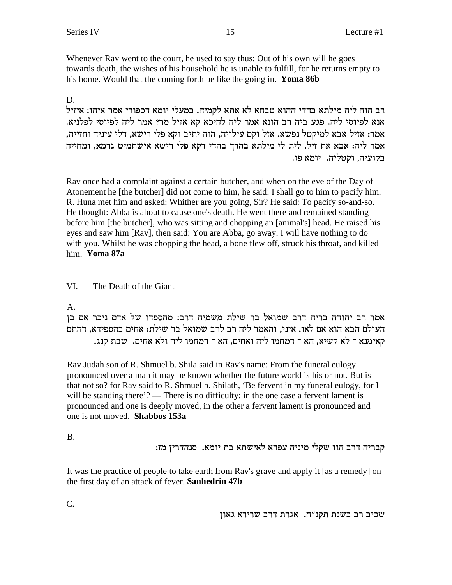Whenever Ray went to the court, he used to say thus: Out of his own will he goes towards death, the wishes of his household he is unable to fulfill, for he returns empty to his home. Would that the coming forth be like the going in. Yoma 86b

15

# D.

רב הוה ליה מילתא בהדי ההוא טבחא לא אתא לקמיה. במעלי יומא דכפורי אמר איהו: איזיל אנא לפיוסי ליה. פגע ביה רב הונא אמר ליה להיכא קא אזיל מר? אמר ליה לפיוסי לפלניא. אמר: אזיל אבא למיקטל נפשא. אזל וקם עילויה, הוה יתיב וקא פלי רישא, דלי עיניה וחזייה, אמר ליה: אבא את זיל, לית לי מילתא בהדך בהדי דקא פלי רישא אישתמיט גרמא, ומחייה בקועיה, וקטליה. יומא פז.

Ray once had a complaint against a certain butcher, and when on the eve of the Day of Atonement he [the butcher] did not come to him, he said: I shall go to him to pacify him. R. Huna met him and asked: Whither are you going, Sir? He said: To pacify so-and-so. He thought: Abba is about to cause one's death. He went there and remained standing before him [the butcher], who was sitting and chopping an [animal's] head. He raised his eyes and saw him [Rav], then said: You are Abba, go away. I will have nothing to do with you. Whilst he was chopping the head, a bone flew off, struck his throat, and killed him Yoma 87a

#### VI. The Death of the Giant

# $A_{1}$

אמר רב יהודה בריה דרב שמואל בר שילת משמיה דרב: מהספדו של אדם ניכר אם בן העולם הבא הוא אם לאו. איני, והאמר ליה רב לרב שמואל בר שילת: אחים בהספידא, דהתם קאימנא ־ לא קשיא, הא ־ דמחמו ליה ואחים, הא ־ דמחמו ליה ולא אחים. שבת קנג.

Rav Judah son of R. Shmuel b. Shila said in Rav's name: From the funeral eulogy pronounced over a man it may be known whether the future world is his or not. But is that not so? for Ray said to R. Shmuel b. Shilath, 'Be fervent in my funeral eulogy, for I will be standing there'? — There is no difficulty: in the one case a fervent lament is pronounced and one is deeply moved, in the other a fervent lament is pronounced and one is not moved. **Shabbos 153a** 

 $B<sub>1</sub>$ 

קבריה דרב הוו שקלי מיניה עפרא לאישתא בת יומא. סנהדרין מז:

It was the practice of people to take earth from Rav's grave and apply it [as a remedy] on the first day of an attack of fever. Sanhedrin 47b

יירא גאון מקנ"ח. אגרת דרב שרירא גאון שכיב

C.